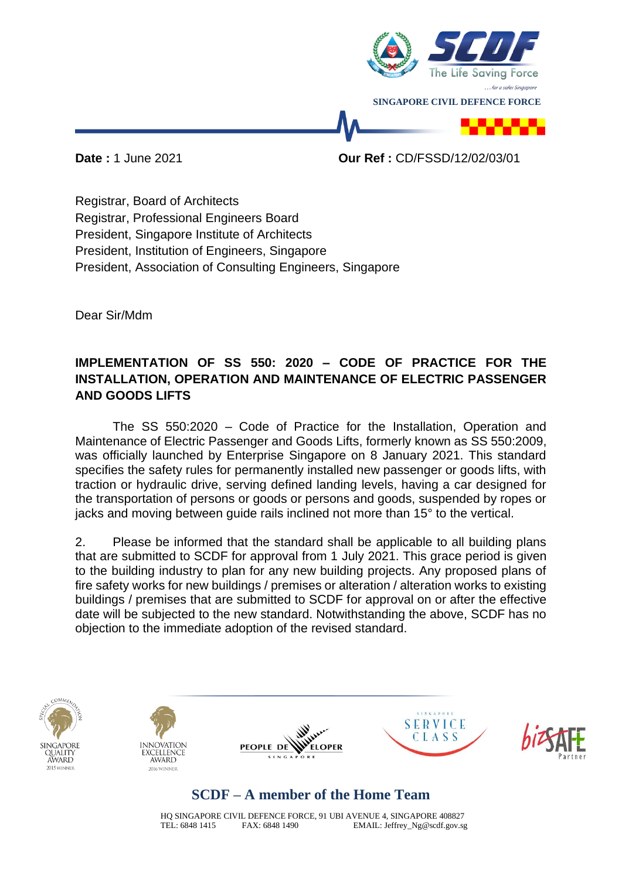

**Date :** 1 June 2021 **Our Ref :** CD/FSSD/12/02/03/01

Registrar, Board of Architects Registrar, Professional Engineers Board President, Singapore Institute of Architects President, Institution of Engineers, Singapore President, Association of Consulting Engineers, Singapore

Dear Sir/Mdm

## **IMPLEMENTATION OF SS 550: 2020 – CODE OF PRACTICE FOR THE INSTALLATION, OPERATION AND MAINTENANCE OF ELECTRIC PASSENGER AND GOODS LIFTS**

The SS 550:2020 – Code of Practice for the Installation, Operation and Maintenance of Electric Passenger and Goods Lifts, formerly known as SS 550:2009, was officially launched by Enterprise Singapore on 8 January 2021. This standard specifies the safety rules for permanently installed new passenger or goods lifts, with traction or hydraulic drive, serving defined landing levels, having a car designed for the transportation of persons or goods or persons and goods, suspended by ropes or jacks and moving between guide rails inclined not more than 15° to the vertical.

2. Please be informed that the standard shall be applicable to all building plans that are submitted to SCDF for approval from 1 July 2021. This grace period is given to the building industry to plan for any new building projects. Any proposed plans of fire safety works for new buildings / premises or alteration / alteration works to existing buildings / premises that are submitted to SCDF for approval on or after the effective date will be subjected to the new standard. Notwithstanding the above, SCDF has no objection to the immediate adoption of the revised standard.











## **SCDF – A member of the Home Team**